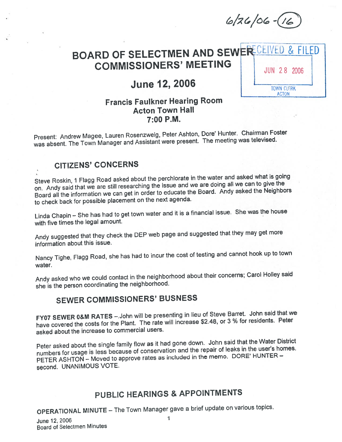$6/26/06-(16)$ 

# BOARD OF SELECTMEN AND SEWER CEIVED & FILED COMMISSIONERS' MEETING | JUN 28 2006

# June 12, 2006  $\frac{1}{\frac{1}{\text{Down CLERK}}}$

# **ACTON**

# Francis Faulkner Hearing Room Acton Town Hall 7:00 P.M.

Present: Andrew Magee, Lauren Rosenzweig, Peter Ashton, Dote' Hunter. Chairman Foster was absent. The Town Manager and Assistant were present. The meeting was televised.

# CITIZENS' CONCERNS

Steve Roskin, <sup>1</sup> Flagg Road asked about the perchiorate in the water and asked what is going on. Andy said that we are still researching the issue and we are doing all we can to <sup>g</sup>ive the Board all the information we can ge<sup>t</sup> in order to educate the Board. Andy asked the Neighbors to check back for possible <sup>p</sup>lacement on the next agenda.

Linda Chapin — She has had to ge<sup>t</sup> town water and it is <sup>a</sup> financial issue. She was the house with five times the legal amount.

Andy suggested that they check the DEP web page and suggested that they may ge<sup>t</sup> mote information about this issue.

Nancy Tighe, Flagg Road, she has had to incur the cost of testing and cannot hook up to town water.

Andy asked who we could contact in the neighborhood about their concerns; Carol Holley said she is the person coordinating the neighborhood.

# SEWER COMMISSIONERS' BUSNESS

FY07 SEWER 0&M RATES —.John will be presenting in lieu of Steve Barret. John said that we have covered the costs for the Plant. The rate will increase \$2.48, or <sup>3</sup> % for residents. Peter asked about the increase to commercial users.

Peter asked about the single family flow as it had gone down. John said that the Water District numbers for usage is less because of conservation and the repair of leaks in the user's homes. PETER ASHTON – Moved to approve rates as included in the memo. DORE' HUNTER – second. UNANIMOUS VOTE.

# PUBLIC HEARINGS & APPOINTMENTS

OPERATIONAL MINUTE — The Town Manager gave <sup>a</sup> brief update on various topics.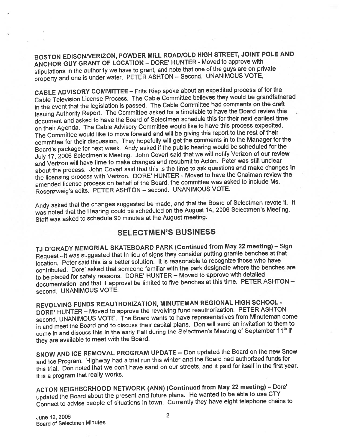BOSTON EDISONNERIZON, POWDER MILL ROADIOLD HIGH STREET, JOINT POLE AND ANCHOR GUY GRANT OF LOCATION — DORE' HUNTER - Moved to approve with stipulations in the authority we have to grant, and note that one of the guys are on private property and one is under water. PETER ASHTON – Second. UNANIMOUS VOTE,

CABLE ADVISORY COMMITTEE — Frits Riep spoke about an expedited process of for the Cable Television License Process. The Cable Committee believes they would be grandfathered in the event that the legislation is passed. The Cable Committee had comments on the draft Issuing Authority Report. The Committee asked for <sup>a</sup> timetable to have the Board review this document and asked to have the Board of Selectmen schedule this for their next earliest time on their Agenda. The Cable Advisory Committee would like to have this process expedited. The Committee would like to move forward and will be <sup>g</sup>iving this repor<sup>t</sup> to the rest of their committee for their discussion. They hopefully will ge<sup>t</sup> the comments in to the Manager for the Board's package for next week. Andy asked if the public hearing would be scheduled for the July 17, <sup>2006</sup> Selectmen's Meeting. John Covert said that we will notify Verizon of our review and Verizon will have time to make changes and resubmit to Acton. Peter was still unclear about the process. John Covert said that this is the time to ask questions and make changes in the licensing process with Verizon. DORE' HUNTER - Moved to have the Chaiman review the amended license process on behalf of the Board, the committee was asked to include Ms. Rosenzweig's edits. PETER ASHTON - second. UNANIMOUS VOTE.

Andy asked that the changes suggested be made, and that the Board of Selectmen revote it. It was noted that the Hearing could be scheduled on the August 14, <sup>2006</sup> Selectmen's Meeting. Staff was asked to schedule <sup>90</sup> minutes at the August meeting.

#### SELECTMEN'S BUSINESS

TJ O'GRADY MEMORIAL SKATEBOARD PARK (Continued from May <sup>22</sup> meeting) — Sign Request —It was suggested that in lieu of signs they consider putting granite benches at that location. Peter said this is <sup>a</sup> better solution. It is reasonable to recognize those who have contributed. Dore' asked that someone familiar with the park designate where the benches are to be placed for safety reasons. DORE' HUNTER – Moved to approve with detailed documentation, and that it approval be limited to five benches at this time. PETER ASHTON second. UNANIMOUS VOTE.

REVOLVING FUNDS REAUTHORIZATION, MINUTEMAN REGIONAL HIGH SCHOOL - DORE' HUNTER – Moved to approve the revolving fund reauthorization. PETER ASHTON second, UNANIMOUS VOTE. The Board wants to have representatives from Minuteman come in and meet the Board and to discuss their capital <sup>p</sup>lans. Don will send an invitation to them to come in and discuss this in the early Fall during the Selectmen's Meeting of September 11<sup>th</sup> if they are available to meet with the Board.

SNOW AND ICE REMOVAL PROGRAM UPDATE — Don updated the Board on the new Snow and Ice Program. Highway had <sup>a</sup> trial run this winter and the Board had authorized funds for this trial. Don noted that we don't have sand on our streets, and it paid for itself in the first year. It is <sup>a</sup> program that really works.

ACTON NEIGHBORHOOD NETWORK (ANN) (Continued from May <sup>22</sup> meeting) — Dote' updated the Board about the presen<sup>t</sup> and future <sup>p</sup>lans. He wanted to be able to use CTY Connect to advise people of situations in town. Currently they have eight telephone chains to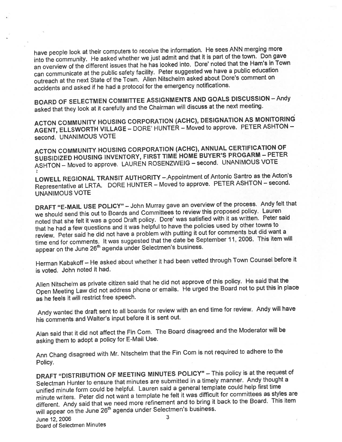have people look at their computers to receive the information. He sees ANN merging more into the community. He asked whether we just admit and that it is par<sup>t</sup> of the town. Don gave an overview of the different issues that he has looked into. Dore' noted that the Ham's in Town can communicate at the public safety facility. Peter suggested we have <sup>a</sup> public education outreach at the next State of the Town. Allen Nitschelm asked about Dore's comment on accidents and asked if he had <sup>a</sup> protocol for the emergency notifications.

BOARD OF SELECTMEN COMMITTEE ASSIGNMENTS AND GOALS DISCUSSION — Andy asked that they look at it carefully and the Chairman will discuss at the next meeting.

ACTON COMMUNITY HOUSING CORPORATION (ACHC), DESIGNATION AS MONITORING AGENT, ELLSWORTH VILLAGE — DORE' HUNTER — Moved to approve. PETER ASHTON second. UNANIMOUS VOTE

ACTON COMMUNITY HOUSING CORPORATION (ACHC), ANNUAL CERTIFICATION OF SUBSIDIZED HOUSING INVENTORY, FIRST TIME HOME BUYER'S PROGARM — PETER ASHTON — Moved to approve. LAUREN ROSENZWEIG — second. UNANIMOUS VOTE

LOWELL REGIONAL TRANSIT AUTHORITY —.Appointment of Antonio Santro as the Acton's Representative at LRTA. DORE HUNTER — Moved to approve. PETER ASHTON — second. UNANIMOUS VOTE

DRAFT "E-MAIL USE POLICY" — John Murray gave an overview of the process. Andy felt that we should send this out to Boards and Committees to review this propose<sup>d</sup> policy. Lauren noted that she felt it was <sup>a</sup> goo<sup>d</sup> Draft policy. Dore' was satisfied with it as written. Peter said that he had <sup>a</sup> few questions and it was helpful to have the policies used by other towns to review. Peter said he did not have <sup>a</sup> problem with putting it out for comments but did want <sup>a</sup> time end for comments. It was suggested that the date be September 11, 2006. This item will appear on the June 26<sup>th</sup> agenda under Selectmen's business.

Herman Kabakoff — He asked about whether it had been vetted through Town Counsel before it is voted. John noted it had.

Allen Nitschelm as private citizen said that he did not approve of this policy. He said that the Open Meeting Law did not address <sup>p</sup>hone or emails. He urge<sup>d</sup> the Board not to pu<sup>t</sup> this in <sup>p</sup>lace as he feels it will restrict free speech.

Andy wanted the draft sent to all boards for review with an end time for review. Andy will have his comments and Walter's input before it is sent out.

Alan said that it did not affect the Fin Com. The Board disagreed and the Moderator will be asking them to adopt <sup>a</sup> policy for E-Mail Use.

Ann Chang disagreed with Mr. Nitschelm that the Fin Com is not required to adhere to the Policy.

DRAFT "DISTRIBUTION OF MEETING MINUTES POLICY" — This policy is at the reques<sup>t</sup> of Selectman Hunter to ensure that minutes are submitted in <sup>a</sup> timely manner. Andy thought <sup>a</sup> unified minute form could be helpful. Lauren said <sup>a</sup> genera<sup>l</sup> template could help first time minute writers. Peter did not want <sup>a</sup> template he felt it was difficult for committees as styles are different. Andy said that we need more refinement and to bring it back to the Board. This item will appear on the June 26<sup>th</sup> agenda under Selectmen's business.<br>
<sup>1</sup>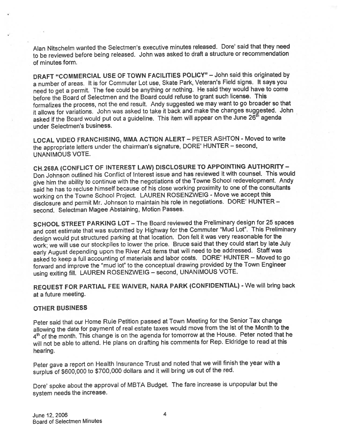Alan Nitschelm wanted the Selectmen's executive minutes released. Dote' said that they need to be reviewed before being released. John was asked to draft <sup>a</sup> structure or recommendation of minutes form.

DRAFT "COMMERCIAL USE OF TOWN FACILITIES POLICY" — John said this originated by <sup>a</sup> number of areas. It is for Commuter Lot use, Skate Park, Veteran's Field signs. It says you need to ge<sup>t</sup> <sup>a</sup> permit. The fee could be anything or nothing. He said they would have to come before the Board of Selectmen and the Board could refuse to gran<sup>t</sup> such license. This formalizes the process, not the end result. Andy suggested we may want to go broader so that it allows for variations. John was asked to take it back and make the changes suggested. John asked if the Board would put out a guideline. This item will appear on the June 26<sup>th</sup> agenda under Selectmen's business.

LOCAL VIDEO FRANCHISING, MMA ACTION ALERT - PETER ASHTON - Moved to write the appropriate letters under the chairman's signature, DORE' HUNTER — second, UNANIMOUS VOTE.

CH.268A (CONFLICT OF INTEREST LAW) DISCLOSURE TO APPOINTING AUTHORITY — Don Johnson outlined his Conflict of Interest issue and has reviewed it with counsel. This would <sup>g</sup>ive him the ability to continue with the negotiations of the Towne School redevelopment. Andy said he has to recluse himself because of his close working proximity to one of the consultants working on the Towne School Project. LAUREN ROSENZWEIG - Move we accep<sup>t</sup> this disclosure and permit Mr. Johnson to maintain his role in negotiations. DORE' HUNTER second. Selectman Magee Abstaining, Motion Passes.

SCHOOL STREET PARKING LOT — The Board reviewed the Preliminary design for <sup>25</sup> spaces and cost estimate that was submitted by Highway for the Commuter "Mud Lot". This Preliminary design would pu<sup>t</sup> structured parking at that location. Don felt it was very reasonable for the work; we will use our stockpiles to lower the price. Bruce said that they could start by late July early August depending upon the River Act items that will need to be addressed. Staff was asked to keep <sup>a</sup> full accounting of materials and labor costs. DORE' HUNTER — Moved to go forward and improve the "mud lot" to the conceptual drawing provided by the Town Engineer using exiting fill. LAUREN ROSENZWEIG — second, UNANIMOUS VOTE.

REQUEST FOR PARTIAL FEE WAIVER, NARA PARK (CONFIDENTIAL) -We will bring back at <sup>a</sup> future meeting.

#### OTHER BUSINESS

Peter said that our Home Rule Petition passe<sup>d</sup> at Town Meeting for the Senior Tax change allowing the date for paymen<sup>t</sup> of real estate taxes would move from the 1st of the Month to the 4<sup>th</sup> of the month. This change is on the agenda for tomorrow at the House. Peter noted that he will not be able to attend. He <sup>p</sup>lans on drafting his comments for Rep. Eldridge to read at this hearing.

Peter gave <sup>a</sup> repor<sup>t</sup> on Health Insurance Trust and noted that we will finish the year with <sup>a</sup> surplus of \$600,000 to \$700,000 dollars and it will bring us out of the red.

Dote' spoke about the approva<sup>l</sup> of MBTA Budget. The fare increase is unpopular but the system needs the increase.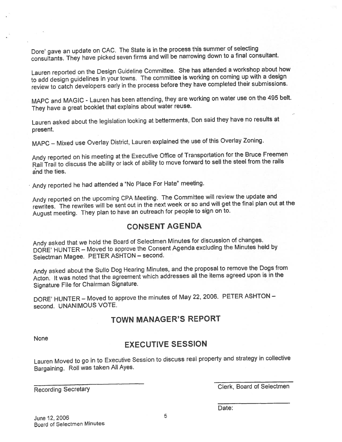Dote' gave an update on CAC. The State is in the process this summer of selecting consultants. They have <sup>p</sup>icked seven firms and will be narrowing down to <sup>a</sup> final consultant.

Lauren reported on the Design Guideline Committee. She has attended <sup>a</sup> workshop about how to add design guidelines in your towns. The committee is working on coming up with <sup>a</sup> design review to catch developers early in the process before they have completed their submissions.

MAPC and MAGIC - Lauren has been attending, they are working on water use on the <sup>495</sup> belt. They have <sup>a</sup> grea<sup>t</sup> booklet that explains about water reuse.

Lauren asked about the legislation looking at betterments, Don said they have no results at present.

MAPC — Mixed use Overlay District, Lauren explained the use of this Overlay Zoning.

Andy reported on his meeting at the Executive Office of Transportation for the Bruce Freemen Rail Trail to discuss the ability or lack of ability to move forward to sell the steel from the rails and the ties.

Andy reported he had attended <sup>a</sup> "No Place For Hate" meeting.

Andy reported on the upcoming CPA Meeting. The Committee will review the update and rewrites. The rewrites will be sent out in the next week or so and will ge<sup>t</sup> the final <sup>p</sup>lan out at the August meeting. They <sup>p</sup>lan to have an outreach for people to sign on to.

# CONSENT AGENDA

Andy asked that we hold the Board of Selectmen Minutes for discussion of changes. DORE' HUNTER — Moved to approve the Consent Agenda excluding the Minutes held by Selectman Magee. PETER ASHTON — second.

Andy asked about the Sullo Dog Hearing Minutes, and the proposa<sup>l</sup> to remove the Dogs from Acton. It was noted that the agreemen<sup>t</sup> which addresses all the items agree<sup>d</sup> upon is in the Signature File for Chairman Signature.

DORE' HUNTER — Moved to approve the minutes of May 22, 2006. PETER ASHTQN second. UNANIMOUS VOTE.

# TOWN MANAGER'S REPORT

None

## EXECUTIVE SESSION

Lauren Moved to go in to Executive Session to discuss real property and strategy in collective Bargaining. Roll was taken All Ayes.

Recording Secretary **Clerk, Board of Selectmen** 

Date: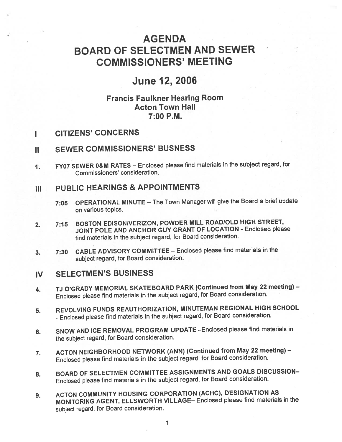# **AGENDA** BOARD OF SELECTMEN AND SEWER COMMISSIONERS' MEETING

# June 12, 2006

## Francis Faulkner Hearing Room Acton Town Hall 7:00 P.M.

I CITIZENS' CONCERNS

#### II SEWER COMMISSIONERS' BUSNESS

1. FY07 SEWER O&M RATES — Enclosed <sup>p</sup>lease find materials in the subject regard, for Commissioners' consideration.

## III PUBLIC HEARINGS & APPOiNTMENTS

- 7:05 OPERATIONAL MiNUTE The Town Manager will <sup>g</sup>ive the Board <sup>a</sup> brief update on various topics.
- 2. 7:15 BOSTON EDISONNERIZON, POWDER MILL ROADIOLD HIGH STREET, JOINT POLE AND ANCHOR GUY GRANT OF LOCATION - Enclosed please find materials in the subject regard, for Board consideration.
- 3. 7:30 CABLE ADVISORY COMMITTEE Enclosed <sup>p</sup>lease find materials in the subject regard, for Board consideration.

#### IV SELECTMEN'S BUSINESS

- 4. TJ O'GRADY MEMORIAL SKATEBOARD PARK (Continued from May <sup>22</sup> meeting) Enclosed <sup>p</sup>lease find materials in the subject regard, for Board consideration.
- 5. REVOLVING FUNDS REAUTHORIZATION, MINUTEMAN REGIONAL HIGH SCHOOL - Enclosed <sup>p</sup>lease find materials in the subject regard, for Board consideration.
- 6. SNOW AND ICE REMOVAL PROGRAM UPDATE —Enclosed <sup>p</sup>lease find materials in the subject regard, for Board consideration.
- 7. ACTON NEIGHBORHOOD NETWORK (ANN) (Continued from May <sup>22</sup> meeting) Enclosed <sup>p</sup>lease find materials in the subject regard, for Board consideration.
- 8. BOARD OF SELECTMEN COMMITTEE ASSIGNMENTS AND GOALS DISCUSSION— Enclosed <sup>p</sup>lease find materials in the subject regard, for Board consideration.
- 9. ACTON COMMUNITY HOUSING CORPORATION (ACHC), DESIGNATION AS MONITORING AGENT, ELLSWORTH VILLAGE— Enclosed <sup>p</sup>lease find materials in the subject regard, for Board consideration.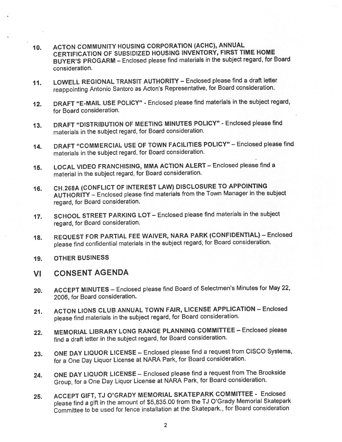- 10. ACTON COMMUNITY HOUSING CORPORATION (ACHC), ANNUAL CERTIFICATION OF SUBSIDIZED HOUSING INVENTORY, FIRST TIME HOME BUYER'S PROGARM — Enclosed <sup>p</sup>lease find materials in the subject regard, for Board consideration.
- 11. LOWELL REGIONAL TRANSIT AUTHORITY Enclosed <sup>p</sup>lease find <sup>a</sup> draft letter reappointing Antonio Santoro as Acton's Representative, for Board consideration.
- 12. DRAFT "E-MAIL USE POLICY" Enclosed <sup>p</sup>lease find materials in the subject regard, for Board consideration.
- 13. DRAFT "DISTRIBUTION OF MEETING MINUTES POLICY" Enclosed <sup>p</sup>lease find materials in the subject regard, for Board consideration.
- 14. DRAFT "COMMERCIAL USE OF TOWN FACILITIES POLICY" Enclosed <sup>p</sup>lease find materials in the subject regard, for Board consideration.
- 15. LOCAL VIDEO FRANCHISING, MMA ACTION ALERT Enclosed <sup>p</sup>lease find <sup>a</sup> material in the subject regard, for Board consideration.
- 16. CH.268A (CONFLICT OF INTEREST LAW) DISCLOSURE TO APPOINTING AUTHORITY — Enclosed <sup>p</sup>lease find materials from the Town Manager in the subject regard, for Board consideration.
- 17. SCHOOL STREET PARKING LOT— Enclosed <sup>p</sup>lease find materials in the subject regard, for Board consideration.
- 18. REQUEST FOR PARTIAL FEE WAIVER, NARA PARK (CONFIDENTIAL) Enclosed <sup>p</sup>lease find confidential materials in the subject regard, for Board consideration.
- 19. OTHER BUSINESS
- VI CONSENT AGENDA
- 20. ACCEPT MINUTES Enclosed <sup>p</sup>lease find Board of Selectmen's Minutes for May 22, 2006, for Board consideration.
- 21. ACTON LIONS CLUB ANNUAL TOWN FAIR, LICENSE APPLICATION Enclosed <sup>p</sup>lease find materials in the subject regard, for Board consideration.
- 22. MEMORIAL LIBRARY LONG RANGE PLANNING COMMITTEE Enclosed <sup>p</sup>lease find <sup>a</sup> draft letter in the subject regard, for Board consideration.
- 23. ONE DAY LIQUOR LICENSE Enclosed <sup>p</sup>lease find <sup>a</sup> reques<sup>t</sup> from CISCO Systems, for <sup>a</sup> One Day Liquor License at NARA Park, for Board consideration.
- 24. ONE DAY LIQUOR LICENSE Enclosed <sup>p</sup>lease find <sup>a</sup> reques<sup>t</sup> from The Brookside Group, for <sup>a</sup> One Day Liquor License at NARA Park, for Board consideration.
- 25. ACCEPT GIFT, TJ O'GRADY MEMORIAL SKATEPARK COMMITTEE Enclosed please find a gift in the amount of \$5,835.00 from the TJ O'Grady Memorial Skatepark Committee to be used for fence installation at the Skatepark., for Board consideration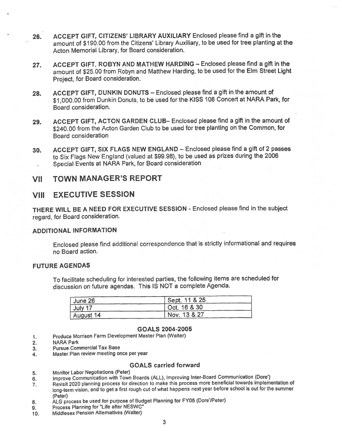- 26. ACCEPT GIFT, CITIZENS' LIBRARY AUXILIARY Enclosed please find <sup>a</sup> gift in the amount of \$190.00 from the Citizens' Library Auxiliary, to be used for tree <sup>p</sup>lanting at the Acton Memorial Library, for Board consideration.
- 27. ACCEPT GIFT, ROBYN AND MATHEW HARDING Enclosed please find <sup>a</sup> gift in the amount of \$25.00 from Robyn and Matthew Harding, to be used for the Elm Street Light Project, for Board consideration.
- 28. ACCEPT GIFT, DUNKIN DONUTS Enclosed <sup>p</sup>lease find <sup>a</sup> <sup>g</sup>ift in the amount of \$1,000.00 from Dunkin Donuts, to be used for the KISS <sup>108</sup> Concert at NARA Park, for Board consideration.
- 29. ACCEPT GIFT, ACTON GARDEN CLUB— Enclosed <sup>p</sup>lease find <sup>a</sup> <sup>g</sup>ift in the amount of \$240.00 from the Acton Garden Club to be used for tree planting on the Common, for Board consideration
- 30. ACCEPT GIFT, SIX FLAGS NEW ENGLAND Enclosed <sup>p</sup>lease find <sup>a</sup> <sup>g</sup>ift of <sup>2</sup> passes to Six Flags New England (valued at \$99.98), to be used as prizes during the <sup>2006</sup> Special Events at NARA Park, for Board consideration

#### VII TOWN MANAGER'S REPORT

#### VIII EXECUTIVE SESSION

THERE WILL BE <sup>A</sup> NEED FOR EXECUTIVE SESSION - Enclosed <sup>p</sup>lease find in the subject regard, for Board consideration.

#### ADDITIONAL INFORMATION

Enclosed <sup>p</sup>lease find additional correspondence that is strictly informational and requires no Board action.

#### FUTURE AGENDAS

To facilitate scheduling for interested parties, the following items are scheduled for discussion on future agendas. This IS NOT <sup>a</sup> complete Agenda.

| June 26   | Sept. 11 & 25 |
|-----------|---------------|
| July 17   | Oct. 16 & 30  |
| August 14 | Nov. 13 & 27  |

#### GOALS 2004-2005

- 1. Produce Morrison Farm Development Master Plan (Walter)
- 2. NARA Park
- 3. Pursue Commercial Tax Base
- 4. Master Plan review meeting once per year

#### GOALS carried forward

- 5. Monitor Labor Negotiations (Peter)
- 6. Improve Communication with Town Boards (ALL), Improving Inter-Board Communication (Dore')
- 7. Revisit <sup>2020</sup> <sup>p</sup>lanning process for direction to make this process more beneficial towards implementation of long-term vision, and to ge<sup>t</sup> <sup>a</sup> first roug<sup>h</sup> cut of what happens next year before school is out for the summer (Peter)
- 8. ALG process be used for purpose of Budget Planning for FY05 (Dore'/Peter)
- 9. Process Planning for "Life after NESWC"
- 10. Middlesex Pension Alternatives (Walter)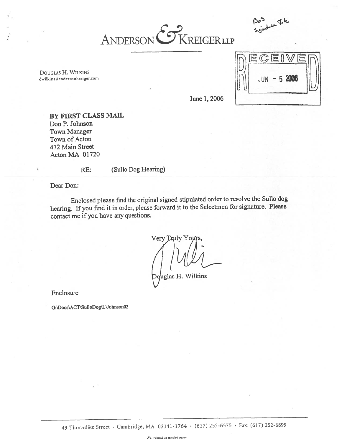

DOUGLAS H. WILKINS dwilkins@andersonkreiger.com



June 1, 2006

BY FIRST CLASS MAIL Don P. Johnson Town Manager Town of Acton 472 Main Street ActonMA 01720

RE: (Sullo Dog Hearing)

Dear Don:

Enclosed <sup>p</sup>lease find the original signed stipulated order to resolve the Sullo dog hearing. If you find it in order, <sup>p</sup>lease forward it to the Selectmen for signature. Please contact me if you have any questions.

Very Truly Yoy

glas H. Wilkins

Enclosure

G:\Docs\ACT\SulloDog\L\Johnson02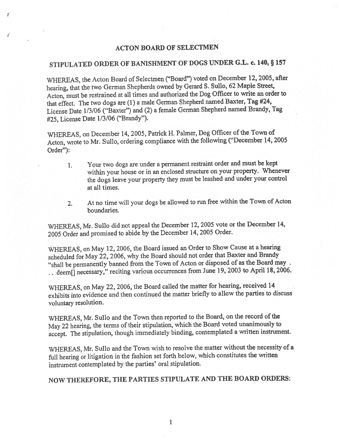#### ACTON BOARD OF SELECTMEN

 $\mathbf{r}^*$ 

 $\boldsymbol{z}^{\prime}$ 

# STIPULATED ORDER OF BANISHMENT OF DOGS UNDER G.L. c. 140, § <sup>157</sup>

WHEREAS, the Acton Board of Selectmen ("Board") voted on December 12, 2005, after hearing, that the two German Shepherds owned by Gerard S. Sullo, <sup>62</sup> Maple Street, Acton, must be restrained at all times and authorized the Dog Officer to write an order to that effect. The two dogs are (1) <sup>a</sup> male German Shepherd named Baxter, Tag #24, License Date 1/3/06 ("Baxter") and (2) <sup>a</sup> female German Shepherd named Brandy, Tag #25, License Date 1/3/06 ("Brandy").

WHEREAS, on December 14, 2005, Patrick H. Palmer, Dog Officer of the Town of Acton, wrote to Mr. Sullo, ordering compliance with the following ("December 14, <sup>2005</sup> Order"):

- 1. Your two dogs are under <sup>a</sup> permanen<sup>t</sup> restraint order and must be kept within your house or in an enclosed structure on your property. Whenever the dogs leave your property they must be leashed and under your control at all times.
- 2. At no time will your dogs be allowed to run free within the Town of Acton boundaries.

WHEREAS, Mr. Sullo did not appea<sup>l</sup> the December 12, <sup>2005</sup> vote or the December 14, <sup>2005</sup> Order and promised to abide by the December 14, <sup>2005</sup> Order.

WHEREAS, on May 12, 2006, the Board issued an Order to Show Cause at <sup>a</sup> hearing scheduled for May 22, 2006, why the Board should not order that Baxter and Brandy "shall be permanently banned from the Town of Acton or disposed of as the Board may. .. deem[] necessary," reciting various occurrences from June 19, 2003 to April 18, 2006.

WHEREAS, on May 22, 2006, the Board called the matter for hearing, received <sup>14</sup> exhibits into evidence and then continued the matter briefly to allow the parties to discuss voluntary resolution.

WHEREAS, Mr. Sullo and the Town then reported to the Board, on the record of the May 22 hearing, the terms of their stipulation, which the Board voted unanimously to accept. The stipulation, though immediately binding, contemplated <sup>a</sup> written instrument.

WHEREAS, Mr. Sullo and the Town wish to resolve the matter without the necessity of <sup>a</sup> full hearing or litigation in the fashion set forth below, which constitutes the written instrument contemplated by the parties' oral stipulation.

NOW THEREFORE, THE PARTIES STIPULATE AND THE BOARD ORDERS: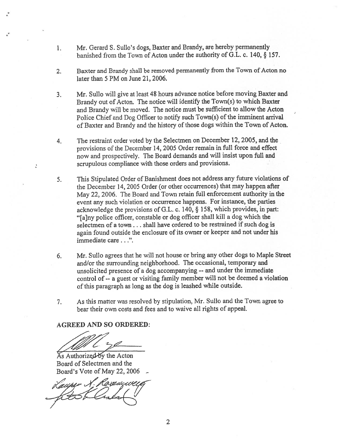- 1. Mr. Gerard S. Sullo's dogs, Baxter and Brandy, are hereby permanently banished from the Town of Acton under the authority of G.L. c. 140, § 157.
- 2. Baxter and Brandy shall be removed permanently from the Town of Acton no later than 5 PM on June 21, 2006.
- 3. Mr. Sullo will <sup>g</sup>ive at least <sup>48</sup> hours advance notice before moving Baxter and Brandy out of Acton. The notice will identify the Town(s) to which Baxter and Brandy will be moved. The notice must be sufficient to allow the Acton Police Chief and Dog Officer to notify such Town(s) of the imminent arrival of Baxter and Brandy and the history of those dogs within the Town of Acton.
- 4. The restraint order voted by the Selectmen on December 12, 2005, and the provisions of the December 14, <sup>2005</sup> Order remain in full force and effect now and prospectively. The Board demands and will insist upon full and scrupulous compliance with those orders and provisions.
- 5. This Stipulated Order of Banishment does not address any future violations of the December 14, 2005 Order (or other occurrences) that may happen after May 22, 2006. The Board and Town retain full enforcement authority in the event any such violation or occurrence happens. For instance, the parties acknowledge the provisions of G.L. c. 140, § 158, which provides, in part: "[aJny police officer, constable or dog officer shall kill <sup>a</sup> dog which the selectmen of <sup>a</sup> town.. . shall have ordered to be restrained if such dog is again found outside the enclosure of its owner or keeper and not under his immediate care. . .".
- 6. Mr. Sullo agrees that he will not house or bring any other dogs to Maple Street and/or the surrounding neighborhood. The occasional, temporary and unsolicited presence of <sup>a</sup> dog accompanying -- and under the immediate control of -- <sup>a</sup> gues<sup>t</sup> or visiting family member will not be deemed <sup>a</sup> violation of this paragrap<sup>h</sup> as long as the dog is leashed while outside.
- 7. As this matter was resolved by stipulation, Mr. Sullo and the Town agree to bear their own costs and fees and to waive all rights of appeal.

AGREED AND SO ORDERED:

As Authorized-by the Acton Board of Selectmen and the

Board's Vote of May 22, 2006